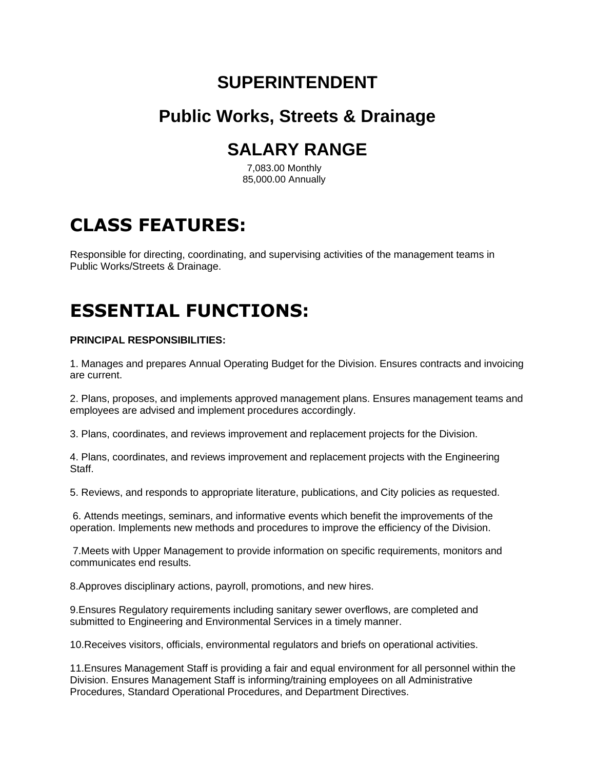### **SUPERINTENDENT**

### **Public Works, Streets & Drainage**

## **SALARY RANGE**

7,083.00 Monthly 85,000.00 Annually

# **CLASS FEATURES:**

Responsible for directing, coordinating, and supervising activities of the management teams in Public Works/Streets & Drainage.

# **ESSENTIAL FUNCTIONS:**

### **PRINCIPAL RESPONSIBILITIES:**

1. Manages and prepares Annual Operating Budget for the Division. Ensures contracts and invoicing are current.

2. Plans, proposes, and implements approved management plans. Ensures management teams and employees are advised and implement procedures accordingly.

3. Plans, coordinates, and reviews improvement and replacement projects for the Division.

4. Plans, coordinates, and reviews improvement and replacement projects with the Engineering Staff.

5. Reviews, and responds to appropriate literature, publications, and City policies as requested.

6. Attends meetings, seminars, and informative events which benefit the improvements of the operation. Implements new methods and procedures to improve the efficiency of the Division.

7.Meets with Upper Management to provide information on specific requirements, monitors and communicates end results.

8.Approves disciplinary actions, payroll, promotions, and new hires.

9.Ensures Regulatory requirements including sanitary sewer overflows, are completed and submitted to Engineering and Environmental Services in a timely manner.

10.Receives visitors, officials, environmental regulators and briefs on operational activities.

11.Ensures Management Staff is providing a fair and equal environment for all personnel within the Division. Ensures Management Staff is informing/training employees on all Administrative Procedures, Standard Operational Procedures, and Department Directives.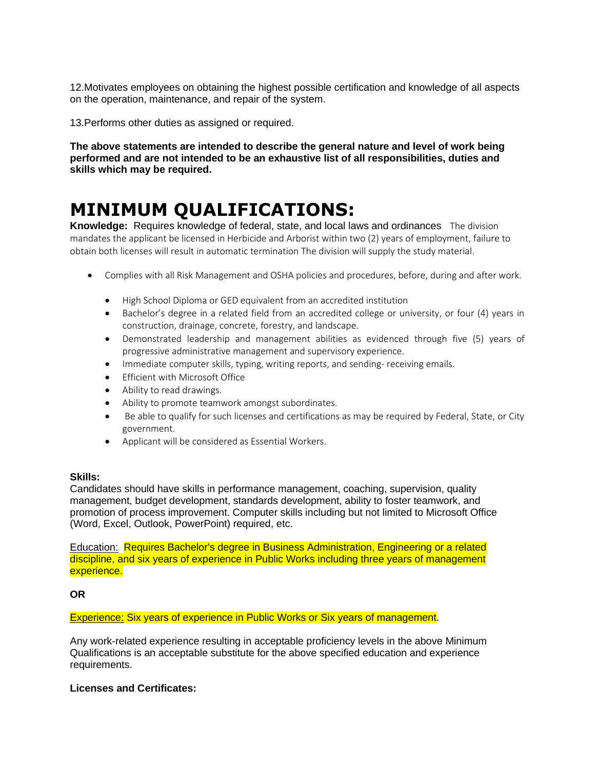12.Motivates employees on obtaining the highest possible certification and knowledge of all aspects on the operation, maintenance, and repair of the system.

13.Performs other duties as assigned or required.

**The above statements are intended to describe the general nature and level of work being performed and are not intended to be an exhaustive list of all responsibilities, duties and skills which may be required.**

## **MINIMUM QUALIFICATIONS:**

**Knowledge:** Requires knowledge of federal, state, and local laws and ordinances The division mandates the applicant be licensed in Herbicide and Arborist within two (2) years of employment, failure to obtain both licenses will result in automatic termination The division will supply the study material.

- Complies with all Risk Management and OSHA policies and procedures, before, during and after work.
	- High School Diploma or GED equivalent from an accredited institution
	- Bachelor's degree in a related field from an accredited college or university, or four (4) years in construction, drainage, concrete, forestry, and landscape.
	- Demonstrated leadership and management abilities as evidenced through five (5) years of progressive administrative management and supervisory experience.
	- Immediate computer skills, typing, writing reports, and sending- receiving emails.
	- Efficient with Microsoft Office
	- Ability to read drawings.
	- Ability to promote teamwork amongst subordinates.
	- Be able to qualify for such licenses and certifications as may be required by Federal, State, or City government.
	- Applicant will be considered as Essential Workers.

### **Skills:**

Candidates should have skills in performance management, coaching, supervision, quality management, budget development, standards development, ability to foster teamwork, and promotion of process improvement. Computer skills including but not limited to Microsoft Office (Word, Excel, Outlook, PowerPoint) required, etc.

Education: Requires Bachelor's degree in Business Administration, Engineering or a related discipline, and six years of experience in Public Works including three years of management experience.

**OR**

Experience: Six years of experience in Public Works or Six years of management.

Any work-related experience resulting in acceptable proficiency levels in the above Minimum Qualifications is an acceptable substitute for the above specified education and experience requirements.

### **Licenses and Certificates:**